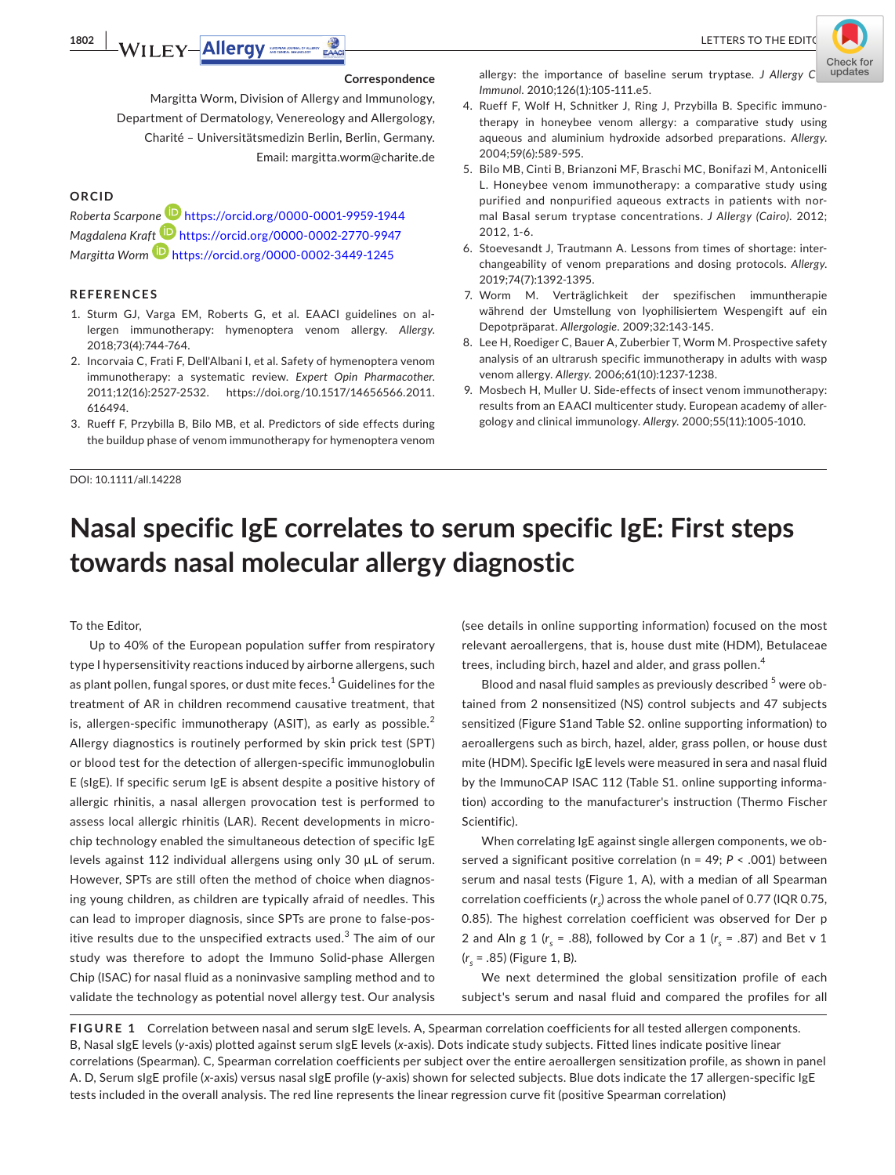

#### **Correspondence**

Margitta Worm, Division of Allergy and Immunology, Department of Dermatology, Venereology and Allergology, Charité – Universitätsmedizin Berlin, Berlin, Germany. Email: [margitta.worm@charite.de](mailto:margitta.worm@charite.de)

## **ORCID**

*Roberta Scarpon[e](https://orcid.org/0000-0002-2770-9947)* <https://orcid.org/0000-0001-9959-1944> *Magdalena Kra[ft](https://orcid.org/0000-0002-3449-1245)* <https://orcid.org/0000-0002-2770-9947> *Margitta Worm* <https://orcid.org/0000-0002-3449-1245>

#### **REFERENCES**

- 1. Sturm GJ, Varga EM, Roberts G, et al. EAACI guidelines on allergen immunotherapy: hymenoptera venom allergy. *Allergy*. 2018;73(4):744-764.
- 2. Incorvaia C, Frati F, Dell'Albani I, et al. Safety of hymenoptera venom immunotherapy: a systematic review. *Expert Opin Pharmacother*. 2011;12(16):2527-2532. [https://doi.org/10.1517/14656566.2011.](https://doi.org/10.1517/14656566.2011.616494) [616494.](https://doi.org/10.1517/14656566.2011.616494)
- 3. Rueff F, Przybilla B, Bilo MB, et al. Predictors of side effects during the buildup phase of venom immunotherapy for hymenoptera venom

DOI: 10.1111/all.14228

allergy: the importance of baseline serum tryptase. *J Allergy C* updates *Immunol*. 2010;126(1):105-111.e5.

- 4. Rueff F, Wolf H, Schnitker J, Ring J, Przybilla B. Specific immunotherapy in honeybee venom allergy: a comparative study using aqueous and aluminium hydroxide adsorbed preparations. *Allergy*. 2004;59(6):589-595.
- 5. Bilo MB, Cinti B, Brianzoni MF, Braschi MC, Bonifazi M, Antonicelli L. Honeybee venom immunotherapy: a comparative study using purified and nonpurified aqueous extracts in patients with normal Basal serum tryptase concentrations. *J Allergy (Cairo)*. 2012; 2012, 1-6.
- 6. Stoevesandt J, Trautmann A. Lessons from times of shortage: interchangeability of venom preparations and dosing protocols. *Allergy*. 2019;74(7):1392-1395.
- 7. Worm M. Verträglichkeit der spezifischen immuntherapie während der Umstellung von lyophilisiertem Wespengift auf ein Depotpräparat. *Allergologie*. 2009;32:143-145.
- 8. Lee H, Roediger C, Bauer A, Zuberbier T, Worm M. Prospective safety analysis of an ultrarush specific immunotherapy in adults with wasp venom allergy. *Allergy*. 2006;61(10):1237-1238.
- 9. Mosbech H, Muller U. Side-effects of insect venom immunotherapy: results from an EAACI multicenter study. European academy of allergology and clinical immunology. *Allergy*. 2000;55(11):1005-1010.

# **Nasal specific IgE correlates to serum specific IgE: First steps towards nasal molecular allergy diagnostic**

To the Editor,

Up to 40% of the European population suffer from respiratory type I hypersensitivity reactions induced by airborne allergens, such as plant pollen, fungal spores, or dust mite feces. $^{\rm 1}$  Guidelines for the treatment of AR in children recommend causative treatment, that is, allergen-specific immunotherapy (ASIT), as early as possible. $<sup>2</sup>$ </sup> Allergy diagnostics is routinely performed by skin prick test (SPT) or blood test for the detection of allergen-specific immunoglobulin E (sIgE). If specific serum IgE is absent despite a positive history of allergic rhinitis, a nasal allergen provocation test is performed to assess local allergic rhinitis (LAR). Recent developments in microchip technology enabled the simultaneous detection of specific IgE levels against 112 individual allergens using only 30 µL of serum. However, SPTs are still often the method of choice when diagnosing young children, as children are typically afraid of needles. This can lead to improper diagnosis, since SPTs are prone to false-positive results due to the unspecified extracts used. $^3$  The aim of our study was therefore to adopt the Immuno Solid-phase Allergen Chip (ISAC) for nasal fluid as a noninvasive sampling method and to validate the technology as potential novel allergy test. Our analysis

(see details in online supporting information) focused on the most relevant aeroallergens, that is, house dust mite (HDM), Betulaceae trees, including birch, hazel and alder, and grass pollen.<sup>4</sup>

Blood and nasal fluid samples as previously described <sup>5</sup> were obtained from 2 nonsensitized (NS) control subjects and 47 subjects sensitized (Figure S1and Table S2. online supporting information) to aeroallergens such as birch, hazel, alder, grass pollen, or house dust mite (HDM). Specific IgE levels were measured in sera and nasal fluid by the ImmunoCAP ISAC 112 (Table S1. online supporting information) according to the manufacturer's instruction (Thermo Fischer Scientific).

When correlating IgE against single allergen components, we observed a significant positive correlation (n = 49; *P* < .001) between serum and nasal tests (Figure 1, A), with a median of all Spearman correlation coefficients (*rs* ) across the whole panel of 0.77 (IQR 0.75, 0.85). The highest correlation coefficient was observed for Der p 2 and Aln g 1 ( $r_s$  = .88), followed by Cor a 1 ( $r_s$  = .87) and Bet v 1 (*rs* = .85) (Figure 1, B).

We next determined the global sensitization profile of each subject's serum and nasal fluid and compared the profiles for all

**FIGURE 1** Correlation between nasal and serum sIgE levels. A, Spearman correlation coefficients for all tested allergen components. B, Nasal sIgE levels (*y*-axis) plotted against serum sIgE levels (*x*-axis). Dots indicate study subjects. Fitted lines indicate positive linear correlations (Spearman). C, Spearman correlation coefficients per subject over the entire aeroallergen sensitization profile, as shown in panel A. D, Serum sIgE profile (*x*-axis) versus nasal sIgE profile (*y*-axis) shown for selected subjects. Blue dots indicate the 17 allergen-specific IgE tests included in the overall analysis. The red line represents the linear regression curve fit (positive Spearman correlation)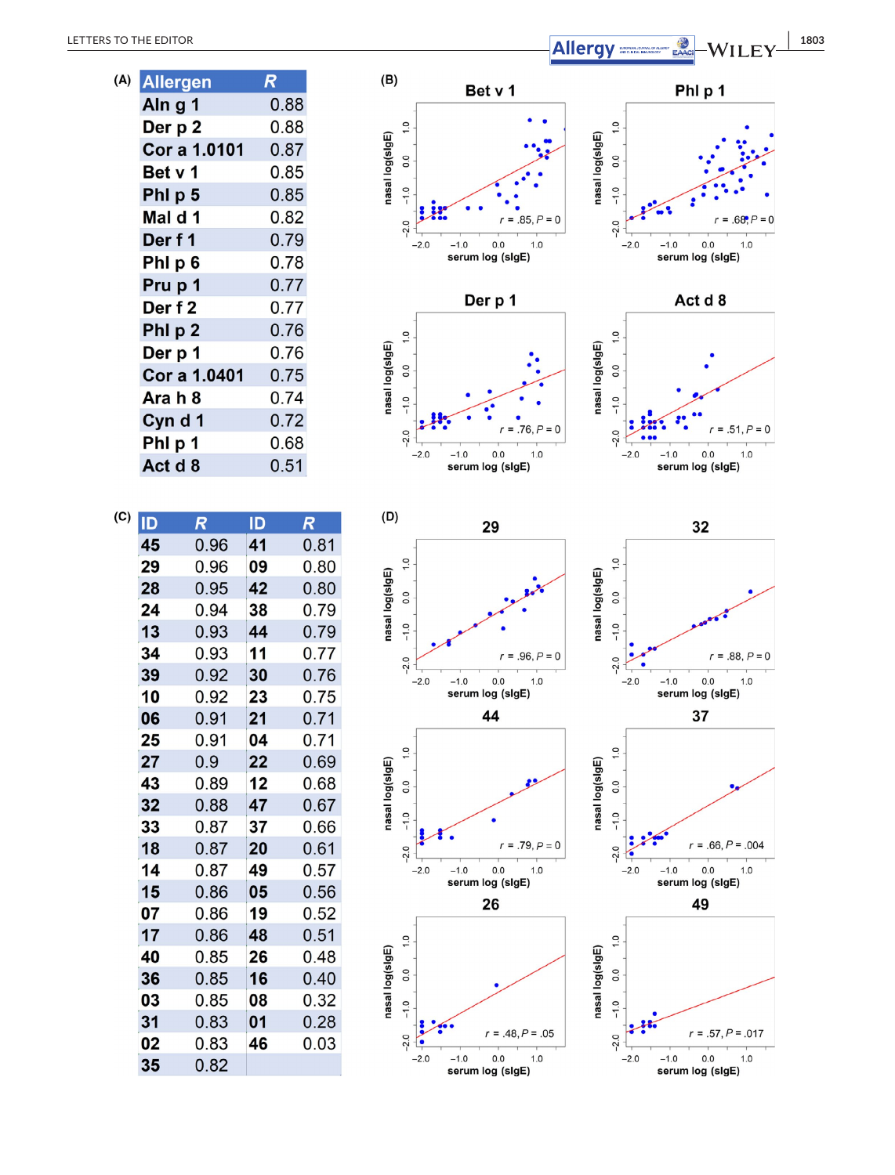| (A) | <b>Allergen</b> | R    |
|-----|-----------------|------|
|     | Aln g 1         | 0.88 |
|     | Der p 2         | 0.88 |
|     | Cor a 1.0101    | 0.87 |
|     | Bet v 1         | 0.85 |
|     | PhI p 5         | 0.85 |
|     | Mal d 1         | 0.82 |
|     | Der f 1         | 0.79 |
|     | PhI p 6         | 0.78 |
|     | Pru p 1         | 0.77 |
|     | Der f 2         | 0.77 |
|     | Phl p 2         | 0.76 |
|     | Der p 1         | 0.76 |
|     | Cor a 1.0401    | 0.75 |
|     | Ara h 8         | 0.74 |
|     | Cyn d 1         | 0.72 |
|     | PhI p 1         | 0.68 |
|     | Act d 8         | 0.51 |

| (C) | ID | $\overline{\mathcal{R}}$ | ID | $\boldsymbol{R}$ |
|-----|----|--------------------------|----|------------------|
|     | 45 | 0.96                     | 41 | 0.81             |
|     | 29 | 0.96                     | 09 | 0.80             |
|     | 28 | 0.95                     | 42 | 0.80             |
|     | 24 | 0.94                     | 38 | 0.79             |
|     | 13 | 0.93                     | 44 | 0.79             |
|     | 34 | 0.93                     | 11 | 0.77             |
|     | 39 | 0.92                     | 30 | 0.76             |
|     | 10 | 0.92                     | 23 | 0.75             |
|     | 06 | 0.91                     | 21 | 0.71             |
|     | 25 | 0.91                     | 04 | 0.71             |
|     | 27 | 0.9                      | 22 | 0.69             |
|     | 43 | 0.89                     | 12 | 0.68             |
|     | 32 | 0.88                     | 47 | 0.67             |
|     | 33 | 0.87                     | 37 | 0.66             |
|     | 18 | 0.87                     | 20 | 0.61             |
|     | 14 | 0.87                     | 49 | 0.57             |
|     | 15 | 0.86                     | 05 | 0.56             |
|     | 07 | 0.86                     | 19 | 0.52             |
|     | 17 | 0.86                     | 48 | 0.51             |
|     | 40 | 0.85                     | 26 | 0.48             |
|     | 36 | 0.85                     | 16 | 0.40             |
|     | 03 | 0.85                     | 08 | 0.32             |
|     | 31 | 0.83                     | 01 | 0.28             |
|     | 02 | 0.83                     | 46 | 0.03             |
|     | 35 | 0.82                     |    |                  |

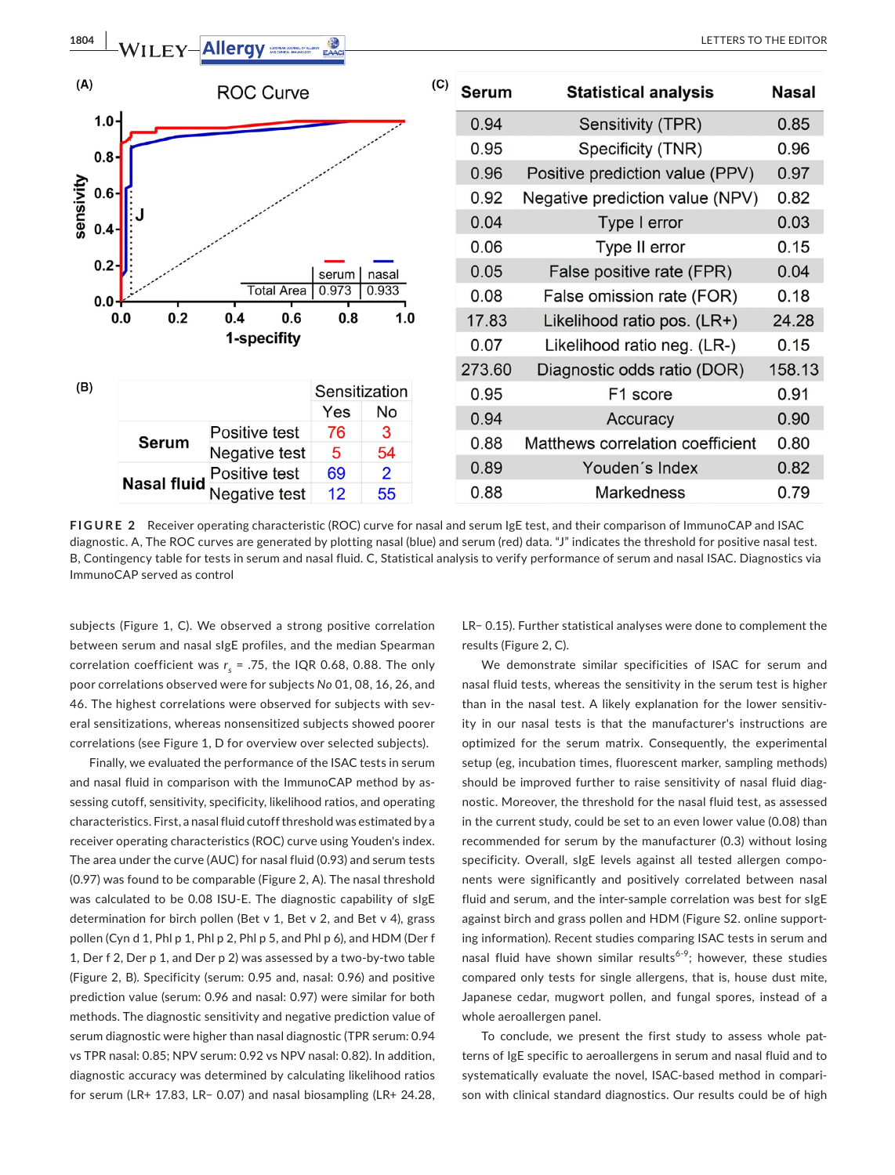

**FIGURE 2** Receiver operating characteristic (ROC) curve for nasal and serum IgE test, and their comparison of ImmunoCAP and ISAC diagnostic. A, The ROC curves are generated by plotting nasal (blue) and serum (red) data. "J" indicates the threshold for positive nasal test. B, Contingency table for tests in serum and nasal fluid. C, Statistical analysis to verify performance of serum and nasal ISAC. Diagnostics via ImmunoCAP served as control

subjects (Figure 1, C). We observed a strong positive correlation between serum and nasal sIgE profiles, and the median Spearman correlation coefficient was  $r<sub>s</sub> = .75$ , the IQR 0.68, 0.88. The only poor correlations observed were for subjects *No* 01, 08, 16, 26, and 46. The highest correlations were observed for subjects with several sensitizations, whereas nonsensitized subjects showed poorer correlations (see Figure 1, D for overview over selected subjects).

Finally, we evaluated the performance of the ISAC tests in serum and nasal fluid in comparison with the ImmunoCAP method by assessing cutoff, sensitivity, specificity, likelihood ratios, and operating characteristics. First, a nasal fluid cutoff threshold was estimated by a receiver operating characteristics (ROC) curve using Youden's index. The area under the curve (AUC) for nasal fluid (0.93) and serum tests (0.97) was found to be comparable (Figure 2, A). The nasal threshold was calculated to be 0.08 ISU-E. The diagnostic capability of sIgE determination for birch pollen (Bet v 1, Bet v 2, and Bet v 4), grass pollen (Cyn d 1, Phl p 1, Phl p 2, Phl p 5, and Phl p 6), and HDM (Der f 1, Der f 2, Der p 1, and Der p 2) was assessed by a two-by-two table (Figure 2, B). Specificity (serum: 0.95 and, nasal: 0.96) and positive prediction value (serum: 0.96 and nasal: 0.97) were similar for both methods. The diagnostic sensitivity and negative prediction value of serum diagnostic were higher than nasal diagnostic (TPR serum: 0.94 vs TPR nasal: 0.85; NPV serum: 0.92 vs NPV nasal: 0.82). In addition, diagnostic accuracy was determined by calculating likelihood ratios for serum (LR+ 17.83, LR− 0.07) and nasal biosampling (LR+ 24.28,

LR− 0.15). Further statistical analyses were done to complement the results (Figure 2, C).

We demonstrate similar specificities of ISAC for serum and nasal fluid tests, whereas the sensitivity in the serum test is higher than in the nasal test. A likely explanation for the lower sensitivity in our nasal tests is that the manufacturer's instructions are optimized for the serum matrix. Consequently, the experimental setup (eg, incubation times, fluorescent marker, sampling methods) should be improved further to raise sensitivity of nasal fluid diagnostic. Moreover, the threshold for the nasal fluid test, as assessed in the current study, could be set to an even lower value (0.08) than recommended for serum by the manufacturer (0.3) without losing specificity. Overall, sIgE levels against all tested allergen components were significantly and positively correlated between nasal fluid and serum, and the inter-sample correlation was best for sIgE against birch and grass pollen and HDM (Figure S2. online supporting information). Recent studies comparing ISAC tests in serum and nasal fluid have shown similar results<sup>6-9</sup>; however, these studies compared only tests for single allergens, that is, house dust mite, Japanese cedar, mugwort pollen, and fungal spores, instead of a whole aeroallergen panel.

To conclude, we present the first study to assess whole patterns of IgE specific to aeroallergens in serum and nasal fluid and to systematically evaluate the novel, ISAC-based method in comparison with clinical standard diagnostics. Our results could be of high